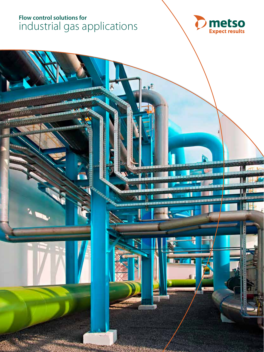# **Flow control solutions for**  industrial gas applications



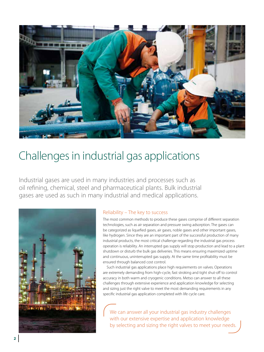

# Challenges in industrial gas applications

Industrial gases are used in many industries and processes such as oil refining, chemical, steel and pharmaceutical plants. Bulk industrial gases are used as such in many industrial and medical applications.



#### Reliability – The key to success

The most common methods to produce these gases comprise of different separation technologies, such as air separation and pressure swing adsorption. The gases can be categorized as liquefied gases, air gases, noble gases and other important gases, like hydrogen. Since they are an important part of the successful production of many industrial products, the most critical challenge regarding the industrial gas process operation is reliability. An interrupted gas supply will stop production and lead to a plant shutdown or disturb the bulk gas deliveries. This means ensuring maximized uptime and continuous, uninterrupted gas supply. At the same time profitability must be ensured through balanced cost control.

Such industrial gas applications place high requirements on valves. Operations are extremely demanding from high-cycle, fast stroking and tight shut-off to control accuracy in both warm and cryogenic conditions. Metso can answer to all these challenges through extensive experience and application knowledge for selecting and sizing just the right valve to meet the most demanding requirements in any specific industrial gas application completed with life cycle care.

We can answer all your industrial gas industry challenges with our extensive expertise and application knowledge by selecting and sizing the right valves to meet your needs.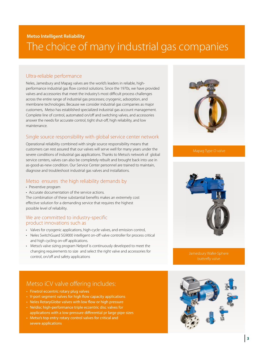## **Metso Intelligent Reliability** The choice of many industrial gas companies

### Ultra-reliable performance

Neles, Jamesbury and Mapag valves are the world's leaders in reliable, highperformance industrial gas flow control solutions. Since the 1970s, we have provided valves and accessories that meet the industry's most difficult process challenges across the entire range of industrial gas processes; cryogenic, adsorption, and membrane technologies. Because we consider industrial gas companies as major customers, Metso has established specialized industrial gas account management. Complete line of control, automated on/off and switching valves, and accessories answer the needs for accurate control, tight shut-off, high reliability, and low maintenance.

### Single source responsibility with global service center network

Operational reliability combined with single source responsibility means that customers can rest assured that our valves will serve well for many years under the severe conditions of industrial gas applications. Thanks to Metso's network of global service centers, valves can also be completely rebuilt and brought back into use in as-good-as-new condition. Our Service Center personnel are trained to maintain, diagnose and troubleshoot industrial gas valves and installations.

### Metso ensures the high reliability demands by

- Preventive program
- Accurate documentation of the service actions.

The combination of these substantial benefits makes an extremely cost effective solution for a demanding service that requires the highest possible level of reliability.

#### We are committed to industry-specific product innovations such as

- Valves for cryogenic applications, high-cycle valves, and emission control,
- Neles SwitchGuard SG9000 intelligent on-off valve controller for process critical and high cycling on-off applications.
- Metso's valve sizing program Nelprof is continuously developed to meet the changing requirements to size and select the right valve and accessories for control, on/off and safety applications

### Metso iCV valve offering includes:

- Finetrol eccentric rotary plug valves
- V-port segment valves for high flow capacity applications
- Neles RotaryGlobe valves with low flow or high pressure
- Neldisc high-performance triple eccentric disc valves for applications with a low-pressure differential pr large pipe sizes
- Metso's top entry rotary control valves for critical and severe applications





Jamesbury Wafer-Sphere

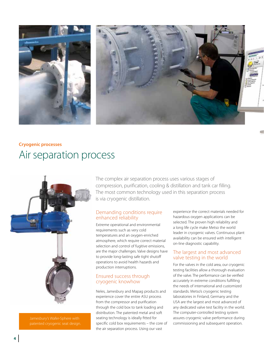



# **Cryogenic processes**  Air separation process



Jamesbury's Wafer-Sphere with

The complex air separation process uses various stages of compression, purification, cooling & distillation and tank car filling. The most common technology used in this separation process is via cryogenic distillation.

#### Demanding conditions require enhanced reliability

Extreme operational and environmental requirements such as very cold temperatures and an oxygen-enriched atmosphere, which require correct material selection and control of fugitive emissions, are the major challenges. Valve designs have to provide long-lasting safe tight shutoff operations to avoid health hazards and production interruptions.

### Ensured success through cryogenic knowhow

Neles, Jamesbury and Mapag products and experience cover the entire ASU process from the compressor and purification through the cold box to tank loading and distribution. The patented metal and soft seating technology is ideally fitted for specific cold box requirements – the core of the air separation process. Using our vast

experience the correct materials needed for hazardous oxygen applications can be selected. The proven high reliability and a long life cycle make Metso the world leader in cryogenic valves. Continuous plant availability can be ensured with intelligent on-line diagnostic capability.

#### The largest and most advanced valve testing in the world

For the valves in the cold area, our cryogenic testing facilities allow a thorough evaluation of the valve. The performance can be verified accurately in extreme conditions fulfilling the needs of international and customized standards. Metso's cryogenic testing laboratories in Finland, Germany and the USA are the largest and most advanced of any dedicated valve test facility in the world. The computer-controlled testing system assures cryogenic valve performance during commissioning and subsequent operation.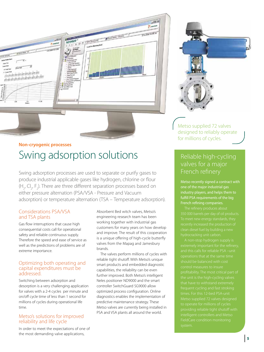

# **Non-cryogenic processes**  Swing adsorption solutions

Swing adsorption processes are used to separate or purify gases to produce industrial applicable gases like hydrogen, chlorine or flour  $(H_{2}, Cl_{2}, F_{2})$ . There are three different separation processes based on either pressure alternation (PSA/VSA - Pressure and Vacuum adsorption) or temperature alternation (TSA – Temperature adsorption).

#### Considerations PSA/VSA and TSA plants

Gas flow interruptions that cause high consequential costs call for operational safety and reliable continuous supply. Therefore the speed and ease of service as well as the predictions of problems are of extreme importance.

#### Optimizing both operating and capital expenditures must be addressed.

Switching between adsorption and desorption is a very challenging application for valves with a 2-4 cycles per minute and on/off cycle time of less than 1 second for millions of cycles during operational life time.

### Metso's solutions for improved reliability and life cycle

In order to meet the expectations of one of the most demanding valve applications,

Absorbent Bed witch valves, Metso's engineering research team has been working together with industrial gas customers for many years on how develop and improve. The result of this cooperation is a unique offering of high-cycle butterfly valves from the Mapag and Jamesbury brands.

The valves perform millions of cycles with reliable tight shutoff. With Metso's unique smart products and embedded diagnostic capabilities, the reliability can be even further improved. Both Metso's intelligent Neles positioner ND9000 and the smart controller SwitchGuard SG9000 allow optimized process configuration. Online diagnostics enables the implementation of predictive maintenance strategy. These Metso valves are currently being installed in PSA and VSA plants all around the world.



Metso supplied 72 valves designed to reliably operate for millions of cycles.

### Reliable high-cycling valves for a major French refinery

Metso recently signed a contract with one of the major industrial gas industry players, and helps them to fulfill PSA requirements of the big French refining companies.

and this calls for reliable PSA –unit operations that at the same time Metso supplied 72 valves designed to operate for millions of cycles FieldCare condition monitoring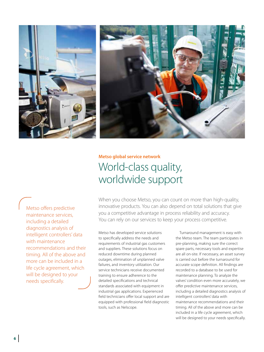



# **Metso global service network** World-class quality, worldwide support

Metso offers predictive maintenance services, including a detailed diagnostics analysis of intelligent controllers' data with maintenance recommendations and their timing. All of the above and more can be included in a life cycle agreement, which will be designed to your needs specifically.

When you choose Metso, you can count on more than high-quality, innovative products. You can also depend on total solutions that give you a competitive advantage in process reliability and accuracy. You can rely on our services to keep your process competitive.

Metso has developed service solutions to specifically address the needs and requirements of industrial gas customers and suppliers. These solutions focus on reduced downtime during planned outages, elimination of unplanned valve failures, and inventory utilization. Our service technicians receive documented training to ensure adherence to the detailed specifications and technical standards associated with equipment in industrial gas applications. Experienced field technicians offer local support and are equipped with professional field diagnostic tools, such as Nelscope.

Turnaround management is easy with the Metso team. The team participates in pre-planning, making sure the correct spare parts, necessary tools and expertise are all on-site. If necessary, an asset survey is carried out before the turnaround for accurate scope definition. All findings are recorded to a database to be used for maintenance planning. To analyze the valves' condition even more accurately, we offer predictive maintenance services, including a detailed diagnostics analysis of intelligent controllers' data with maintenance recommendations and their timing. All of the above and more can be included in a life cycle agreement, which will be designed to your needs specifically.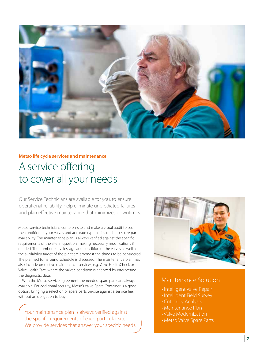

# **Metso life cycle services and maintenance** A service offering to cover all your needs

Our Service Technicians are available for you, to ensure operational reliability, help eliminate unpredicted failures and plan effective maintenance that minimizes downtimes.

Metso service technicians come on-site and make a visual audit to see the condition of your valves and accurate type codes to check spare part availability. The maintenance plan is always verified against the specific requirements of the site in question, making necessary modifications if needed. The number of cycles, age and condition of the valves as well as the availability target of the plant are amongst the things to be considered. The planned turnaround schedule is discussed. The maintenance plan may also include predictive maintenance services, e.g. Valve HealthCheck or Valve HealthCare, where the valve's condition is analyzed by interpreting the diagnostic data.

With the Metso service agreement the needed spare parts are always available. For additional security, Metso's Valve Spare Container is a good option, bringing a selection of spare parts on-site against a service fee, without an obligation to buy.

Your maintenance plan is always verified against the specific requirements of each particular site. We provide services that answer your specific needs.



### Maintenance Solution

- Intelligent Valve Repair
- Intelligent Field Survey
- Criticality Analysis
- Maintenance Plan
- Valve Modernization
- Metso Valve Spare Parts